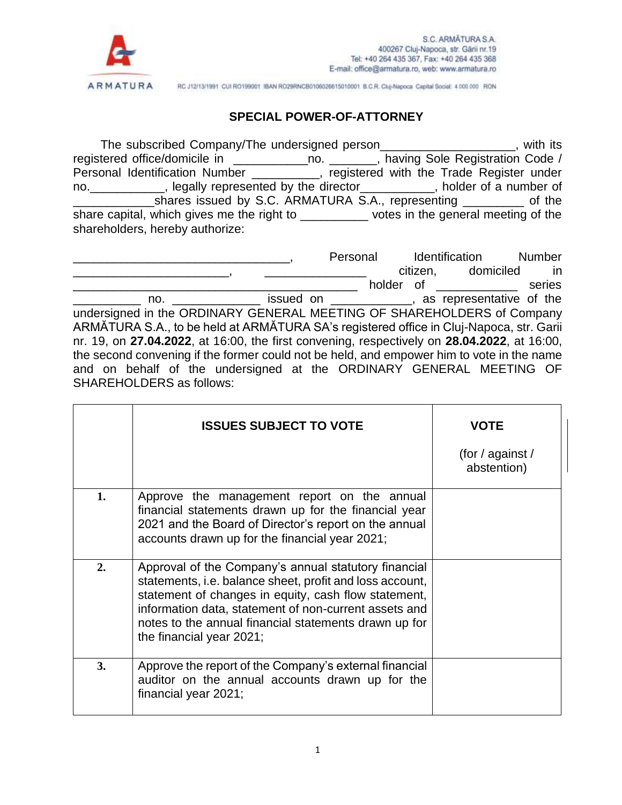

RC J12/13/1991 CUI RO199001 IBAN RO29RNCB0106026615010001 B.C.R. Cluj-Napoca Capital Social: 4.000.000 RON

## **SPECIAL POWER-OF-ATTORNEY**

The subscribed Company/The undersigned person\_\_\_\_\_\_\_\_\_\_\_\_\_\_\_\_\_\_\_\_, with its registered office/domicile in \_\_\_\_\_\_\_\_\_\_\_no. \_\_\_\_\_\_\_, having Sole Registration Code / Personal Identification Number \_\_\_\_\_\_\_\_\_, registered with the Trade Register under no.\_\_\_\_\_\_\_\_\_\_\_, legally represented by the director\_\_\_\_\_\_\_\_\_\_\_, holder of a number of \_\_\_\_\_\_\_\_\_\_\_\_shares issued by S.C. ARMATURA S.A., representing \_\_\_\_\_\_\_\_\_ of the share capital, which gives me the right to \_\_\_\_\_\_\_\_\_\_\_\_ votes in the general meeting of the shareholders, hereby authorize:

|                                                                                             |  |  | Personal Identification          | <b>Number</b>                                                                                                  |
|---------------------------------------------------------------------------------------------|--|--|----------------------------------|----------------------------------------------------------------------------------------------------------------|
|                                                                                             |  |  | citizen, domiciled               | in in the set of the set of the set of the set of the set of the set of the set of the set of the set of the s |
|                                                                                             |  |  | holder of <u>with the set of</u> | series                                                                                                         |
| no. _________________ issued on ______________, as representative of the                    |  |  |                                  |                                                                                                                |
| undersigned in the ORDINARY GENERAL MEETING OF SHAREHOLDERS of Company                      |  |  |                                  |                                                                                                                |
| ARMATURA S.A., to be held at ARMATURA SA's registered office in Cluj-Napoca, str. Garii     |  |  |                                  |                                                                                                                |
| nr. 19, on 27.04.2022, at 16:00, the first convening, respectively on 28.04.2022, at 16:00, |  |  |                                  |                                                                                                                |
| the second convening if the former could not be held, and empower him to vote in the name   |  |  |                                  |                                                                                                                |
| and on behalf of the undersigned at the ORDINARY GENERAL MEETING OF                         |  |  |                                  |                                                                                                                |
| <b>SHAREHOLDERS</b> as follows:                                                             |  |  |                                  |                                                                                                                |
|                                                                                             |  |  |                                  |                                                                                                                |

|    | <b>ISSUES SUBJECT TO VOTE</b>                                                                                                                                                                                                                                                                                          | <b>VOTE</b>                     |
|----|------------------------------------------------------------------------------------------------------------------------------------------------------------------------------------------------------------------------------------------------------------------------------------------------------------------------|---------------------------------|
|    |                                                                                                                                                                                                                                                                                                                        | (for / against /<br>abstention) |
| 1. | Approve the management report on the annual<br>financial statements drawn up for the financial year<br>2021 and the Board of Director's report on the annual<br>accounts drawn up for the financial year 2021;                                                                                                         |                                 |
| 2. | Approval of the Company's annual statutory financial<br>statements, i.e. balance sheet, profit and loss account,<br>statement of changes in equity, cash flow statement,<br>information data, statement of non-current assets and<br>notes to the annual financial statements drawn up for<br>the financial year 2021; |                                 |
| 3. | Approve the report of the Company's external financial<br>auditor on the annual accounts drawn up for the<br>financial year 2021;                                                                                                                                                                                      |                                 |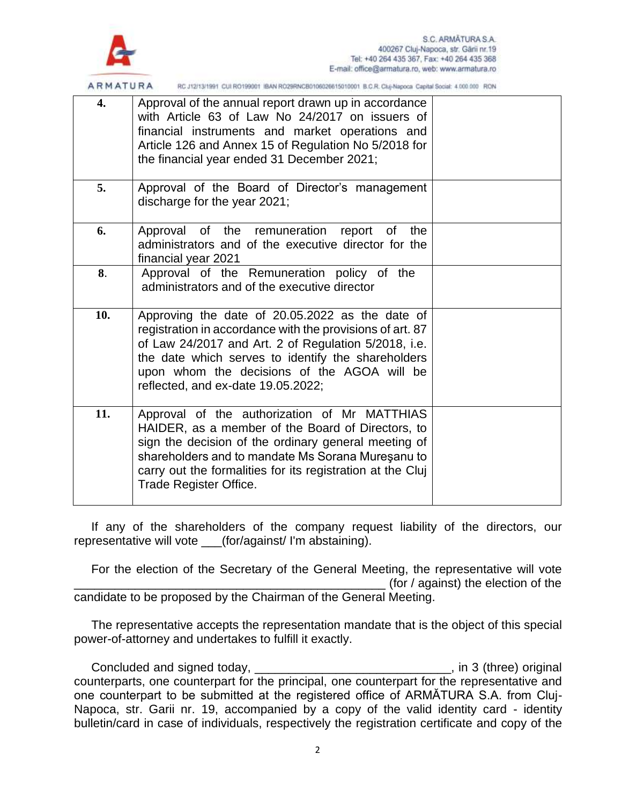

| ARMAIURA         | RC J12/13/1991 CUI RO199001 IBAN RO29RINCB0106026615010001 B.C.R. Cluj-Napoca Capital Social: 4.000.000 RON                                                                                                                                                                                                     |  |
|------------------|-----------------------------------------------------------------------------------------------------------------------------------------------------------------------------------------------------------------------------------------------------------------------------------------------------------------|--|
| $\overline{4}$ . | Approval of the annual report drawn up in accordance<br>with Article 63 of Law No 24/2017 on issuers of<br>financial instruments and market operations and<br>Article 126 and Annex 15 of Regulation No 5/2018 for<br>the financial year ended 31 December 2021;                                                |  |
| 5.               | Approval of the Board of Director's management<br>discharge for the year 2021;                                                                                                                                                                                                                                  |  |
| 6.               | Approval of the remuneration report of the<br>administrators and of the executive director for the<br>financial year 2021                                                                                                                                                                                       |  |
| 8.               | Approval of the Remuneration policy of the<br>administrators and of the executive director                                                                                                                                                                                                                      |  |
| 10.              | Approving the date of 20.05.2022 as the date of<br>registration in accordance with the provisions of art. 87<br>of Law 24/2017 and Art. 2 of Regulation 5/2018, i.e.<br>the date which serves to identify the shareholders<br>upon whom the decisions of the AGOA will be<br>reflected, and ex-date 19.05.2022; |  |
| 11.              | Approval of the authorization of Mr MATTHIAS<br>HAIDER, as a member of the Board of Directors, to<br>sign the decision of the ordinary general meeting of<br>shareholders and to mandate Ms Sorana Mureșanu to<br>carry out the formalities for its registration at the Cluj<br>Trade Register Office.          |  |

If any of the shareholders of the company request liability of the directors, our representative will vote \_\_\_(for/against/ I'm abstaining).

For the election of the Secretary of the General Meeting, the representative will vote  $($ for  $/$  against) the election of the candidate to be proposed by the Chairman of the General Meeting.

The representative accepts the representation mandate that is the object of this special power-of-attorney and undertakes to fulfill it exactly.

Concluded and signed today, \_\_\_\_\_\_\_\_\_\_\_\_\_\_\_\_\_\_\_\_\_\_\_\_\_\_\_\_\_\_\_, in 3 (three) original counterparts, one counterpart for the principal, one counterpart for the representative and one counterpart to be submitted at the registered office of ARMĂTURA S.A. from Cluj-Napoca, str. Garii nr. 19, accompanied by a copy of the valid identity card - identity bulletin/card in case of individuals, respectively the registration certificate and copy of the